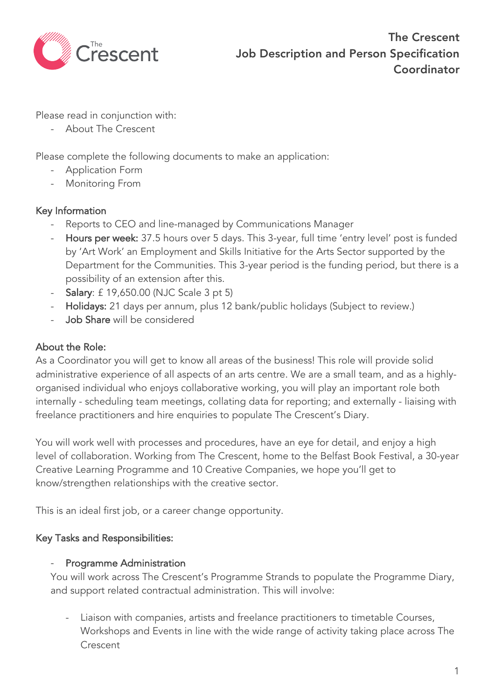

Please read in conjunction with:

- About The Crescent

Please complete the following documents to make an application:

- Application Form
- Monitoring From

## Key Information

- Reports to CEO and line-managed by Communications Manager
- Hours per week: 37.5 hours over 5 days. This 3-year, full time 'entry level' post is funded by 'Art Work' an Employment and Skills Initiative for the Arts Sector supported by the Department for the Communities. This 3-year period is the funding period, but there is a possibility of an extension after this.
- Salary: £ 19,650.00 (NJC Scale 3 pt 5)
- Holidays: 21 days per annum, plus 12 bank/public holidays (Subject to review.)
- Job Share will be considered

## About the Role:

As a Coordinator you will get to know all areas of the business! This role will provide solid administrative experience of all aspects of an arts centre. We are a small team, and as a highlyorganised individual who enjoys collaborative working, you will play an important role both internally - scheduling team meetings, collating data for reporting; and externally - liaising with freelance practitioners and hire enquiries to populate The Crescent's Diary.

You will work well with processes and procedures, have an eye for detail, and enjoy a high level of collaboration. Working from The Crescent, home to the Belfast Book Festival, a 30-year Creative Learning Programme and 10 Creative Companies, we hope you'll get to know/strengthen relationships with the creative sector.

This is an ideal first job, or a career change opportunity.

## Key Tasks and Responsibilities:

#### Programme Administration

You will work across The Crescent's Programme Strands to populate the Programme Diary, and support related contractual administration. This will involve:

- Liaison with companies, artists and freelance practitioners to timetable Courses, Workshops and Events in line with the wide range of activity taking place across The **Crescent**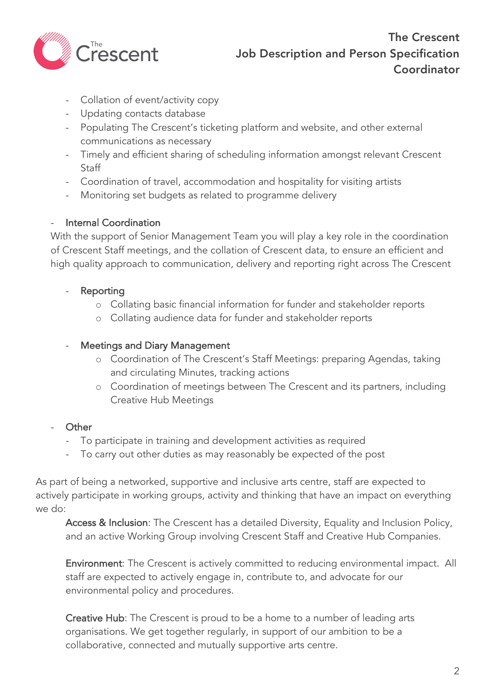

- Collation of event/activity copy
- Updating contacts database
- Populating The Crescent's ticketing platform and website, and other external communications as necessary
- Timely and efficient sharing of scheduling information amongst relevant Crescent Staff
- Coordination of travel, accommodation and hospitality for visiting artists
- Monitoring set budgets as related to programme delivery

## - Internal Coordination

With the support of Senior Management Team you will play a key role in the coordination of Crescent Staff meetings, and the collation of Crescent data, to ensure an efficient and high quality approach to communication, delivery and reporting right across The Crescent

- **Reporting** 
	- o Collating basic financial information for funder and stakeholder reports
	- o Collating audience data for funder and stakeholder reports

## Meetings and Diary Management

- o Coordination of The Crescent's Staff Meetings: preparing Agendas, taking and circulating Minutes, tracking actions
- o Coordination of meetings between The Crescent and its partners, including Creative Hub Meetings

# - Other

- To participate in training and development activities as required
- To carry out other duties as may reasonably be expected of the post

As part of being a networked, supportive and inclusive arts centre, staff are expected to actively participate in working groups, activity and thinking that have an impact on everything we do:

Access & Inclusion: The Crescent has a detailed Diversity, Equality and Inclusion Policy, and an active Working Group involving Crescent Staff and Creative Hub Companies.

Environment: The Crescent is actively committed to reducing environmental impact. All staff are expected to actively engage in, contribute to, and advocate for our environmental policy and procedures.

Creative Hub: The Crescent is proud to be a home to a number of leading arts organisations. We get together regularly, in support of our ambition to be a collaborative, connected and mutually supportive arts centre.